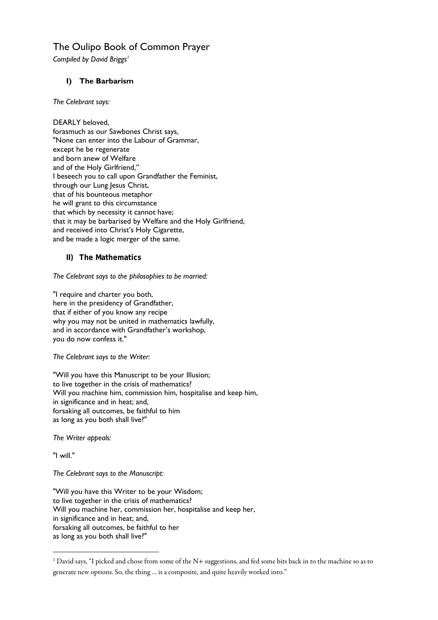## The Oulipo Book of Common Prayer

**Compiled by David Briggs<sup>1</sup>** 

## **I) The Barbarism**

*The Celebrant says:* 

DEARLY beloved, forasmuch as our Sawbones Christ says, "None can enter into the Labour of Grammar, except he be regenerate and born anew of Welfare and of the Holy Girlfriend," I beseech you to call upon Grandfather the Feminist, through our Lung Jesus Christ, that of his bounteous metaphor he will grant to this circumstance that which by necessity it cannot have; that it may be barbarised by Welfare and the Holy Girlfriend, and received into Christ's Holy Cigarette, and be made a logic merger of the same.

## **II) The Mathematics**

*The Celebrant says to the philosophies to be married:* 

"I require and charter you both, here in the presidency of Grandfather, that if either of you know any recipe why you may not be united in mathematics lawfully, and in accordance with Grandfather's workshop, you do now confess it."

*The Celebrant says to the Writer:* 

"Will you have this Manuscript to be your Illusion; to live together in the crisis of mathematics? Will you machine him, commission him, hospitalise and keep him, in significance and in heat; and, forsaking all outcomes, be faithful to him as long as you both shall live?"

*The Writer appeals:* 

"I will."

**.** 

*The Celebrant says to the Manuscript:* 

"Will you have this Writer to be your Wisdom; to live together in the crisis of mathematics? Will you machine her, commission her, hospitalise and keep her, in significance and in heat; and, forsaking all outcomes, be faithful to her as long as you both shall live?"

<sup>1</sup> David says, "I picked and chose from some of the N+ suggestions, and fed some bits back in to the machine so as to generate new options. So, the thing … is a composite, and quite heavily worked into."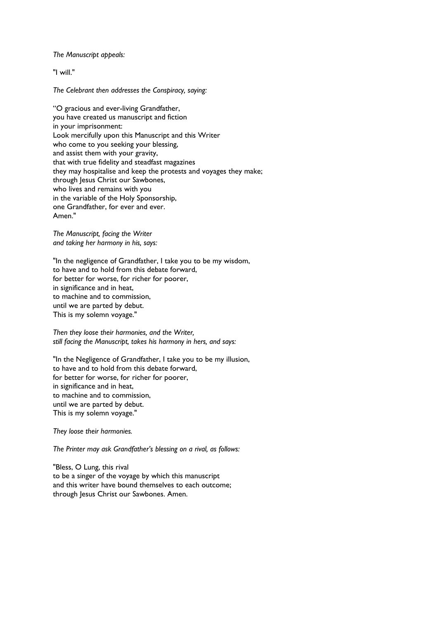*The Manuscript appeals:* 

"I will."

*The Celebrant then addresses the Conspiracy, saying:* 

"O gracious and ever-living Grandfather, you have created us manuscript and fiction in your imprisonment: Look mercifully upon this Manuscript and this Writer who come to you seeking your blessing, and assist them with your gravity, that with true fidelity and steadfast magazines they may hospitalise and keep the protests and voyages they make; through Jesus Christ our Sawbones, who lives and remains with you in the variable of the Holy Sponsorship, one Grandfather, for ever and ever. Amen."

*The Manuscript, facing the Writer and taking her harmony in his, says:* 

"In the negligence of Grandfather, I take you to be my wisdom, to have and to hold from this debate forward, for better for worse, for richer for poorer, in significance and in heat, to machine and to commission, until we are parted by debut. This is my solemn voyage."

*Then they loose their harmonies, and the Writer, still facing the Manuscript, takes his harmony in hers, and says:* 

"In the Negligence of Grandfather, I take you to be my illusion, to have and to hold from this debate forward, for better for worse, for richer for poorer, in significance and in heat, to machine and to commission, until we are parted by debut. This is my solemn voyage."

*They loose their harmonies.* 

*The Printer may ask Grandfather's blessing on a rival, as follows:* 

"Bless, O Lung, this rival to be a singer of the voyage by which this manuscript and this writer have bound themselves to each outcome; through Jesus Christ our Sawbones. Amen.